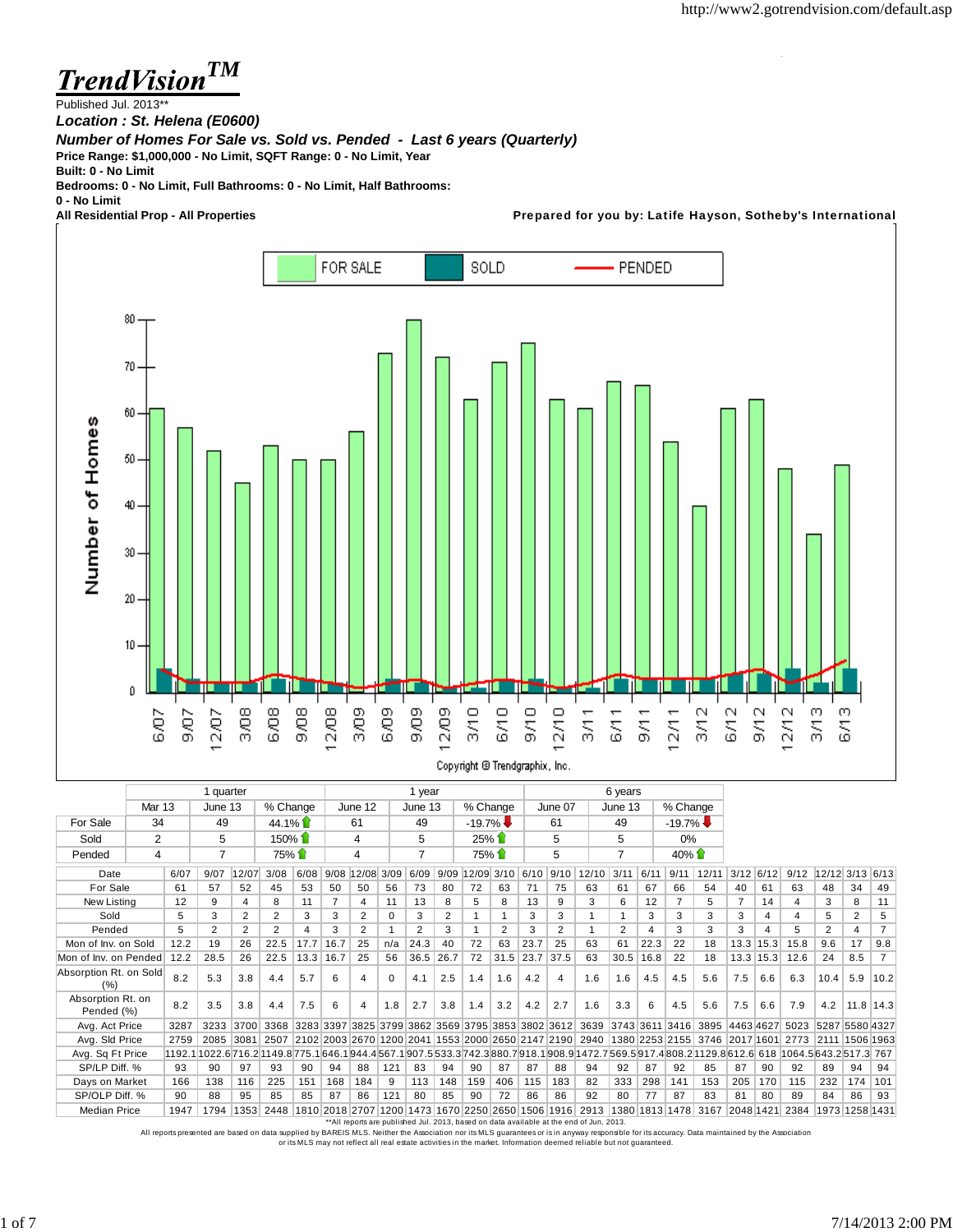**TrendVision<sup>TM</sup>** 

Published Jul. 2013\*\*

*Location : St. Helena (E0600)*

*Number of Homes For Sale vs. Sold vs. Pended - Last 6 years (Quarterly)*

**Price Range: \$1,000,000 - No Limit, SQFT Range: 0 - No Limit, Year**

**Built: 0 - No Limit**

**Bedrooms: 0 - No Limit, Full Bathrooms: 0 - No Limit, Half Bathrooms:**

**0 - No Limit**

Prepared for you by: Latife Hayson, Sotheby's International



|                                 |        |                | 1 quarter                                                                                                                                                  |                |                                                                                                                         |      | 1 year    |                |     |         |                |            |      |      |         |                                                                                         | 6 years        |      |                |       |             |     |      |                 |                |                |
|---------------------------------|--------|----------------|------------------------------------------------------------------------------------------------------------------------------------------------------------|----------------|-------------------------------------------------------------------------------------------------------------------------|------|-----------|----------------|-----|---------|----------------|------------|------|------|---------|-----------------------------------------------------------------------------------------|----------------|------|----------------|-------|-------------|-----|------|-----------------|----------------|----------------|
|                                 | Mar 13 |                | June 13                                                                                                                                                    |                | % Change                                                                                                                |      |           | June 12        |     | June 13 |                | % Change   |      |      | June 07 |                                                                                         | June 13        |      | % Change       |       |             |     |      |                 |                |                |
| For Sale                        | 34     |                | 49                                                                                                                                                         |                | $44.1\%$                                                                                                                |      |           | 61             |     | 49      |                | $-19.7\%$  |      |      | 61      |                                                                                         | 49             |      | $-19.7\%$      |       |             |     |      |                 |                |                |
| Sold                            | 2      |                | 5                                                                                                                                                          |                | $150\%$ 1                                                                                                               |      | 4         |                |     | 5       |                | 25%        |      |      | 5       |                                                                                         | 5              |      | $0\%$          |       |             |     |      |                 |                |                |
| Pended                          | 4      | $\overline{7}$ |                                                                                                                                                            |                | <b>75%1</b>                                                                                                             |      | 4         |                | 7   |         |                | 75%        |      |      | 5       |                                                                                         | $\overline{7}$ |      | $40\%$ 1       |       |             |     |      |                 |                |                |
| Date                            |        | 6/07           | 9/07                                                                                                                                                       | 12/07          | 3/08                                                                                                                    | 6/08 | 9/08      | 12/08 3/09     |     | 6/09    | 9/09           | 12/09 3/10 |      | 6/10 | 9/10    | 12/10                                                                                   | 3/11           | 6/11 | 9/11           | 12/11 | $3/12$ 6/12 |     | 9/12 | 12/12 3/13 6/13 |                |                |
| For Sale                        |        | 61             | 57                                                                                                                                                         | 52             | 45                                                                                                                      | 53   | 50        | 50             | 56  | 73      | 80             | 72         | 63   | 71   | 75      | 63                                                                                      | 61             | 67   | 66             | 54    | 40          | 61  | 63   | 48              | 34             | 49             |
| New Listing                     |        | 12             | 9                                                                                                                                                          | 4              | 8                                                                                                                       | 11   |           | 4              | 11  | 13      | 8              | 5          | 8    | 13   | 9       | 3                                                                                       | 6              | 12   | $\overline{7}$ | 5     |             | 14  | 4    | 3               | 8              | 11             |
| Sold                            |        | 5              | 3                                                                                                                                                          | 2              | 2                                                                                                                       | 3    | 3         | 2              | 0   | 3       | $\overline{2}$ |            |      | 3    | 3       |                                                                                         |                | 3    | 3              | 3     | 3           | 4   | 4    | 5               | 2              | 5              |
| Pended                          |        | 5              | 2                                                                                                                                                          | $\overline{2}$ | $\overline{2}$                                                                                                          | 4    | 3         | $\overline{2}$ |     | 2       | 3              |            | 2    | 3    | 2       |                                                                                         | $\overline{2}$ | Δ    | 3              | 3     | 3           | 4   | 5    | 2               | 4              | $\overline{7}$ |
| Mon of Inv. on Sold             |        | 12.2           | 19                                                                                                                                                         | 26             | 22.5                                                                                                                    | 17.7 | 16.7      | 25             | n/a | 24.3    | 40             | 72         | 63   | 23.7 | 25      | 63                                                                                      | 61             | 22.3 | 22             | 18    | $13.3$ 15.3 |     | 15.8 | 9.6             | 17             | 9.8            |
| Mon of Inv. on Pended           |        | 12.2           | 28.5                                                                                                                                                       | 26             | 22.5                                                                                                                    |      | 13.3 16.7 | 25             | 56  | 36.5    | 26.7           | 72         | 31.5 | 23.7 | 37.5    | 63                                                                                      | 30.5           | 16.8 | 22             | 18    | $13.3$ 15.3 |     | 12.6 | 24              | 8.5            | $\overline{7}$ |
| Absorption Rt. on Sold<br>(%)   |        | 8.2            | 5.3                                                                                                                                                        | 3.8            | 4.4                                                                                                                     | 5.7  | 6         | 4              | 0   | 4.1     | 2.5            | 1.4        | 1.6  | 4.2  | 4       | 1.6                                                                                     | 1.6            | 4.5  | 4.5            | 5.6   | 7.5         | 6.6 | 6.3  | 10.4            | 5.9            | 10.2           |
| Absorption Rt. on<br>Pended (%) |        | 8.2            | 3.5                                                                                                                                                        | 3.8            | 4.4                                                                                                                     | 7.5  | 6         | $\overline{4}$ | 1.8 | 2.7     | 3.8            | 1.4        | 3.2  | 4.2  | 2.7     | 1.6                                                                                     | 3.3            | 6    | 4.5            | 5.6   | 7.5         | 6.6 | 7.9  | 4.2             | $11.8$ 14.3    |                |
| Avg. Act Price                  |        | 3287           |                                                                                                                                                            |                | 3233 3700 3368 3283 3397 3825 3799 3862 3569 3795 3853 3802 3612 3639 3743 3611 3416 3895 4463 4627 5023 5287 5580 4327 |      |           |                |     |         |                |            |      |      |         |                                                                                         |                |      |                |       |             |     |      |                 |                |                |
| Avg. Sld Price                  |        | 2759           |                                                                                                                                                            |                | 2005 3081 2507 2102 2003 2670 1200 2041 1553 2000 2650 2147 2190 2940 1380 2253 2155 3746 2017 1601 2773 2111 1506 1963 |      |           |                |     |         |                |            |      |      |         |                                                                                         |                |      |                |       |             |     |      |                 |                |                |
| Avg. Sq Ft Price                |        |                | 1192.1 1022.6 716.2 1149.8 775.1 646.1 944.4 567.1 907.5 533.3 742.3 880.7 918.1 908.9 1472.7 569.5 917.4 808.2 1129.8 612.6  618  1064.5 643.2 517.3  767 |                |                                                                                                                         |      |           |                |     |         |                |            |      |      |         |                                                                                         |                |      |                |       |             |     |      |                 |                |                |
| SP/LP Diff. %                   |        | 93             | 90                                                                                                                                                         | 97             | 93                                                                                                                      | 90   | 94        | 88             | 121 | 83      | 94             | 90         | 87   | 87   | 88      | 94                                                                                      | 92             | 87   | 92             | 85    | 87          | 90  | 92   | 89              | 94             | 94             |
| Days on Market                  |        | 166            | 138                                                                                                                                                        | 116            | 225                                                                                                                     | 151  | 168       | 184            | 9   | 113     | 148            | 159        | 406  | 115  | 183     | 82                                                                                      | 333            | 298  | 141            | 153   | 205         | 170 | 115  | 232             | 174            | 101            |
| SP/OLP Diff. %                  |        | 90             | 88                                                                                                                                                         | 95             | 85                                                                                                                      | 85   | 87        | 86             | 121 | 80      | 85             | 90         | 72   | 86   | 86      | 92                                                                                      | 80             | 77   | 87             | 83    | 81          | 80  | 89   | 84              | 86             | 93             |
| Median Price                    |        | 1947           | 1794                                                                                                                                                       |                | 1353 2448                                                                                                               |      |           |                |     |         |                |            |      |      |         | 1810 2018 2707 1200 1473 1670 2250 2650 1506 1916 2913 1380 1813 1478 3167              |                |      |                |       | 2048 1421   |     | 2384 |                 | 1973 1258 1431 |                |
|                                 |        |                |                                                                                                                                                            |                |                                                                                                                         |      |           |                |     |         |                |            |      |      |         | **All reports are published Jul. 2013, based on data available at the end of Jun. 2013. |                |      |                |       |             |     |      |                 |                |                |

all reports are published Jul. 2013, based on data available at the end of Jun. 2013.<br>All reports presented are based on data supplied by BAREIS MLS. Neither the Association nor its MLS guarantees or is in anyway responsi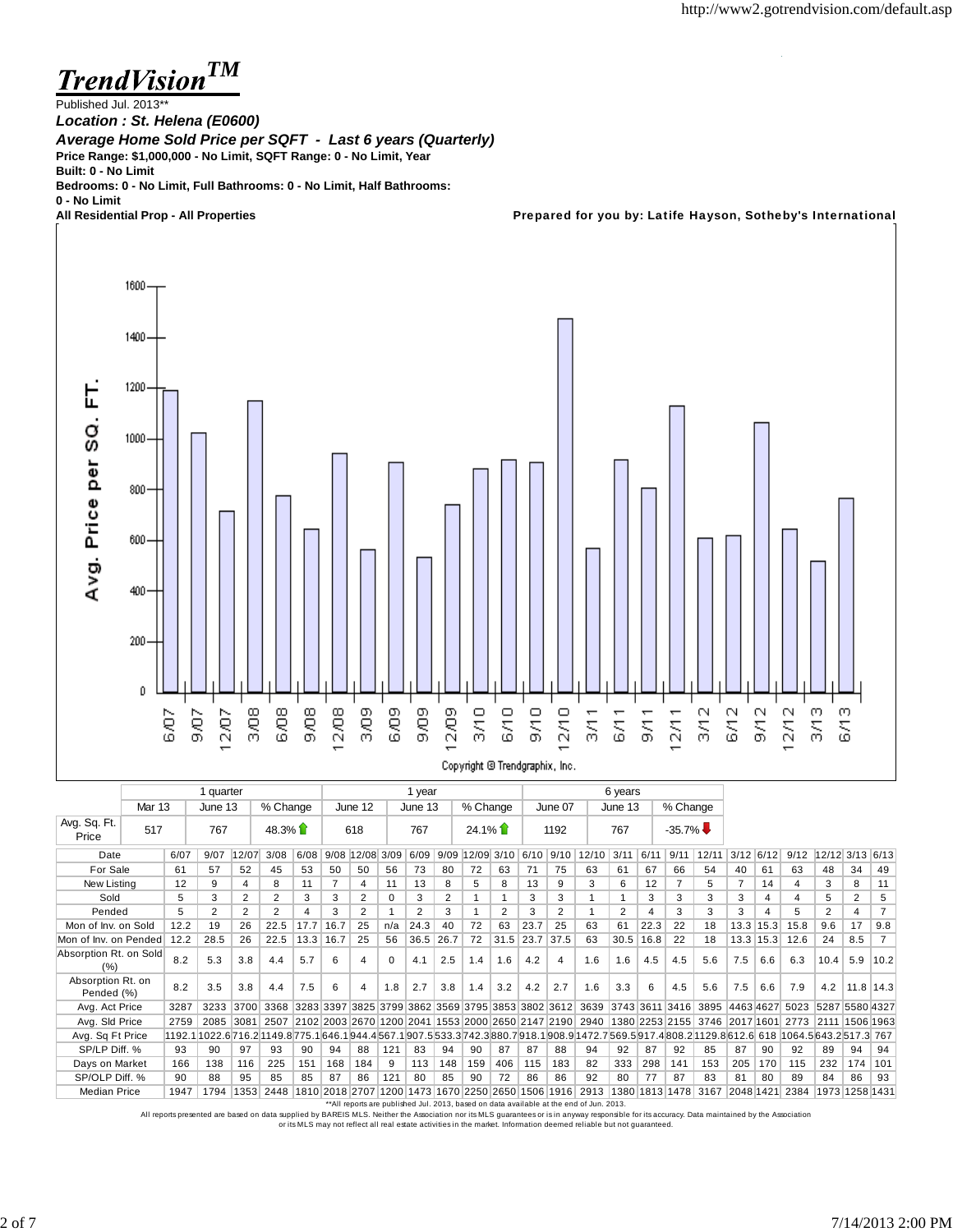à.

**TrendVision<sup>TM</sup>** 

Published Jul. 2013\*\* *Location : St. Helena (E0600) Average Home Sold Price per SQFT - Last 6 years (Quarterly)* **Price Range: \$1,000,000 - No Limit, SQFT Range: 0 - No Limit, Year Built: 0 - No Limit Bedrooms: 0 - No Limit, Full Bathrooms: 0 - No Limit, Half Bathrooms:**

**0 - No Limit**

Prepared for you by: Latife Hayson, Sotheby's International



|                                 |               |      | 1 quarter |                |                                                                                                                                                                                                 |      |           |                |          | 1 year      |      |            |      |      |                |                                                                                                               | 6 years |      |           |                     |             |           |      |                 |     |                |
|---------------------------------|---------------|------|-----------|----------------|-------------------------------------------------------------------------------------------------------------------------------------------------------------------------------------------------|------|-----------|----------------|----------|-------------|------|------------|------|------|----------------|---------------------------------------------------------------------------------------------------------------|---------|------|-----------|---------------------|-------------|-----------|------|-----------------|-----|----------------|
|                                 | <b>Mar 13</b> |      | June 13   |                | % Change                                                                                                                                                                                        |      |           | June 12        |          | June 13     |      | % Change   |      |      | June 07        |                                                                                                               | June 13 |      | % Change  |                     |             |           |      |                 |     |                |
| Avg. Sq. Ft.<br>Price           | 517           |      | 767       |                | $48.3\%$                                                                                                                                                                                        |      | 618       |                |          | 767         |      | $24.1\%$   |      |      | 1192           |                                                                                                               | 767     |      | $-35.7\%$ |                     |             |           |      |                 |     |                |
| Date                            |               | 6/07 | 9/07      | 12/07          | 3/08                                                                                                                                                                                            | 6/08 | 9/08      | 12/08 3/09     |          | 6/09        | 9/09 | 12/09 3/10 |      | 6/10 | 9/10           | 12/10                                                                                                         | 3/11    | 6/11 | 9/11      | 12/11               | $3/12$ 6/12 |           | 9/12 | 12/12 3/13 6/13 |     |                |
| For Sale                        |               | 61   | 57        | 52             | 45                                                                                                                                                                                              | 53   | 50        | 50             | 56       | 73          | 80   | 72         | 63   | 71   | 75             | 63                                                                                                            | 61      | 67   | 66        | 54                  | 40          | 61        | 63   | 48              | 34  | 49             |
| New Listing                     |               | 12   | 9         | 4              | 8                                                                                                                                                                                               | 11   | 7         | 4              | 11       | 13          | 8    | 5          | 8    | 13   | 9              | 3                                                                                                             | 6       | 12   | 7         | 5                   |             | 14        | 4    | 3               | 8   | 11             |
| Sold                            |               | 5    | 3         | $\overline{2}$ | 2                                                                                                                                                                                               | 3    | 3         | $\overline{2}$ | $\Omega$ | 3           | 2    | 1          |      | 3    | 3              |                                                                                                               |         | 3    | 3         | 3                   | 3           | 4         | 4    | 5               | 2   | 5              |
| Pended                          |               | 5    | 2         | 2              | 2                                                                                                                                                                                               | 4    | 3         | $\overline{2}$ |          | 2           | 3    |            | 2    | 3    | $\overline{2}$ |                                                                                                               | 2       | 4    | 3         | 3                   | 3           | 4         | 5    | 2               | 4   | $\overline{7}$ |
| Mon of Inv. on Sold             |               | 12.2 | 19        | 26             | 22.5                                                                                                                                                                                            | 17.7 | 16.7      | 25             | n/a      | 24.3        | 40   | 72         | 63   | 23.7 | 25             | 63                                                                                                            | 61      | 22.3 | 22        | 18                  | 13.3 15.3   |           | 15.8 | 9.6             | 17  | 9.8            |
| Mon of Inv. on Pended           |               | 12.2 | 28.5      | 26             | 22.5                                                                                                                                                                                            |      | 13.3 16.7 | 25             | 56       | $36.5$ 26.7 |      | 72         | 31.5 | 23.7 | 37.5           | 63                                                                                                            | 30.5    | 16.8 | 22        | 18                  |             | 13.3 15.3 | 12.6 | 24              | 8.5 | $\overline{7}$ |
| Absorption Rt. on Sold<br>(% )  |               | 8.2  | 5.3       | 3.8            | 4.4                                                                                                                                                                                             | 5.7  | 6         | 4              | $\Omega$ | 4.1         | 2.5  | 1.4        | 1.6  | 4.2  | 4              | 1.6                                                                                                           | 1.6     | 4.5  | 4.5       | 5.6                 | 7.5         | 6.6       | 6.3  | 10.4            | 5.9 | 10.2           |
| Absorption Rt. on<br>Pended (%) |               | 8.2  | 3.5       | 3.8            | 4.4                                                                                                                                                                                             | 7.5  | 6         | 4              | 1.8      | 2.7         | 3.8  | 1.4        | 3.2  | 4.2  | 2.7            | 1.6                                                                                                           | 3.3     | 6    | 4.5       | 5.6                 | 7.5         | 6.6       | 7.9  | 4.2             |     | 11.8 14.3      |
| Avg. Act Price                  |               | 3287 | 3233 3700 |                |                                                                                                                                                                                                 |      |           |                |          |             |      |            |      |      |                | 3368 3283 3397 3825 3799 3862 3569 3795 3853 3802 3612 3639 3743 3611 3416 3895 4463 4627                     |         |      |           |                     |             |           | 5023 | 5287 5580 4327  |     |                |
| Avg. Sld Price                  |               | 2759 | 2085 3081 |                |                                                                                                                                                                                                 |      |           |                |          |             |      |            |      |      |                | 2607 2102 2003 2670 1200 2041 1553 2000 2650 2147 2190 2940 1380 2253 2155 3746 2017 1601 2773 2111 1506 1963 |         |      |           |                     |             |           |      |                 |     |                |
| Avg. Sq Ft Price                |               |      |           |                | 1192.1 1022.6 716.2 1149.8 775.1 646.1 944.4 567.1 907.5 533.3 742.3 880.7 918.1 908.9 1472.7 569.5 917.4 808.2 1129.8 612.6  618  1064.5 643.2 517.3  767                                      |      |           |                |          |             |      |            |      |      |                |                                                                                                               |         |      |           |                     |             |           |      |                 |     |                |
| SP/LP Diff. %                   |               | 93   | 90        | 97             | 93                                                                                                                                                                                              | 90   | 94        | 88             | 121      | 83          | 94   | 90         | 87   | 87   | 88             | 94                                                                                                            | 92      | 87   | 92        | 85                  | 87          | 90        | 92   | 89              | 94  | 94             |
| Days on Market                  |               | 166  | 138       | 116            | 225                                                                                                                                                                                             | 151  | 168       | 184            | 9        | 113         | 148  | 159        | 406  | 115  | 183            | 82                                                                                                            | 333     | 298  | 141       | 153                 | 205         | 170       | 115  | 232             | 174 | 101            |
| SP/OLP Diff. %                  |               | 90   | 88        | 95             | 85                                                                                                                                                                                              | 85   | 87        | 86             | 121      | 80          | 85   | 90         | 72   | 86   | 86             | 92                                                                                                            | 80      | 77   | 87        | 83                  | 81          | 80        | 89   | 84              | 86  | 93             |
| <b>Median Price</b>             |               | 1947 | 1794      | 1353           |                                                                                                                                                                                                 |      |           |                |          |             |      |            |      |      |                | 2448 1810 2018 2707 1200 1473 1670 2250 2650 1506 1916 2913                                                   |         |      |           | 1380 1813 1478 3167 | 2048 1421   |           | 2384 | 1973 1258 1431  |     |                |
|                                 |               |      |           |                | All reports presented are based on data supplied by BAREIS MLS. Neither the Association nor its MLS quarantees or is in anyway responsible for its accuracy. Data maintained by the Association |      |           |                |          |             |      |            |      |      |                | **All reports are published Jul. 2013, based on data available at the end of Jun. 2013.                       |         |      |           |                     |             |           |      |                 |     |                |

or its MLS may not reflect all real estate activities in the market. Information deemed reliable but not guaranteed.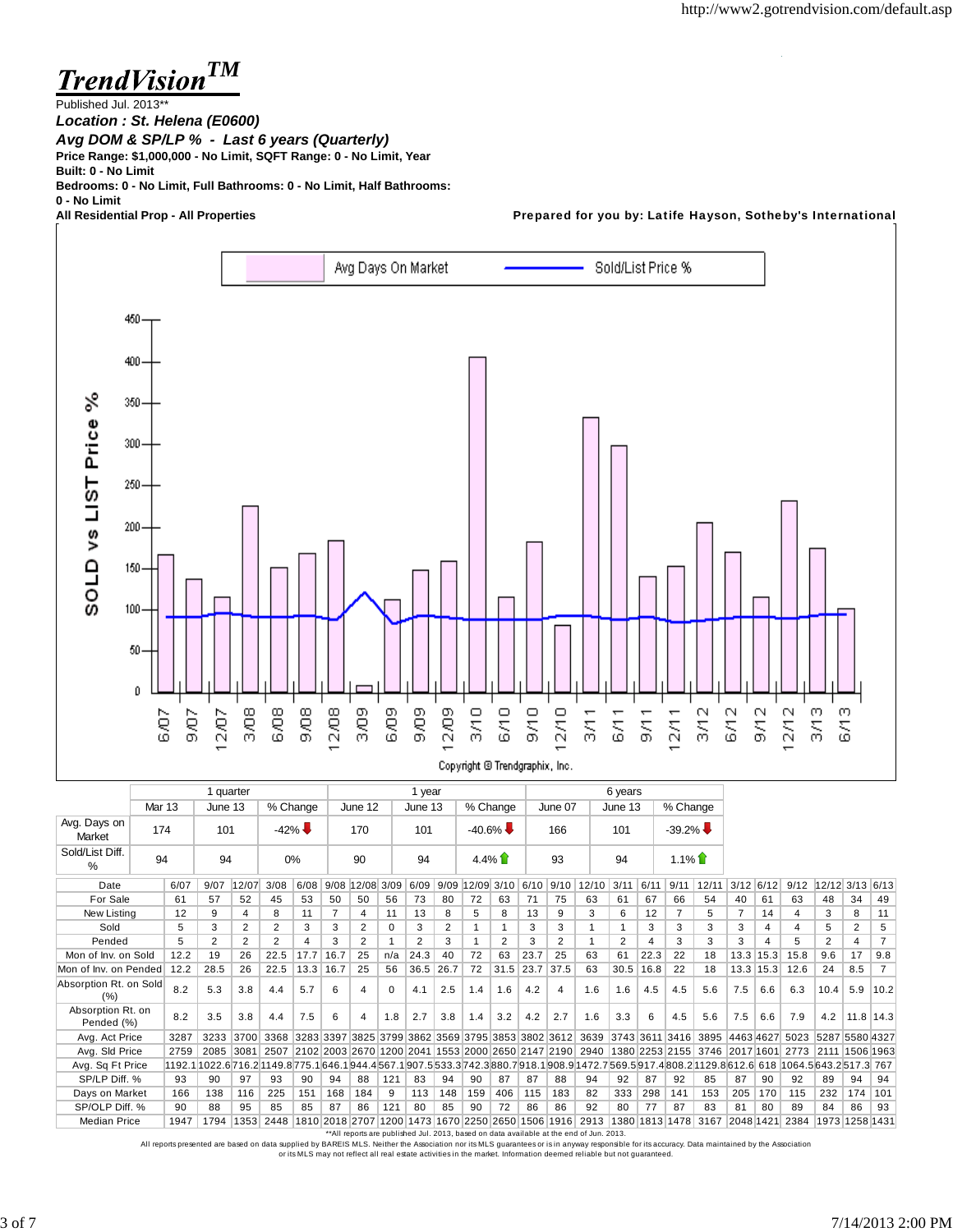**TrendVision<sup>TM</sup>** 

Published Jul. 2013\*\* *Location : St. Helena (E0600) Avg DOM & SP/LP % - Last 6 years (Quarterly)* **Price Range: \$1,000,000 - No Limit, SQFT Range: 0 - No Limit, Year Built: 0 - No Limit**

**Bedrooms: 0 - No Limit, Full Bathrooms: 0 - No Limit, Half Bathrooms:**

**0 - No Limit**

Prepared for you by: Latife Hayson, Sotheby's International



|                                 |               |      | 1 quarter                                                                                                                                                  |                |                                                                                                                         |             |             |                 |          | 1 year  |      |           |          | 6 years |                                                   |                                                                                           |         |      |                     |       |           |             |      |                 |                |                |
|---------------------------------|---------------|------|------------------------------------------------------------------------------------------------------------------------------------------------------------|----------------|-------------------------------------------------------------------------------------------------------------------------|-------------|-------------|-----------------|----------|---------|------|-----------|----------|---------|---------------------------------------------------|-------------------------------------------------------------------------------------------|---------|------|---------------------|-------|-----------|-------------|------|-----------------|----------------|----------------|
|                                 | <b>Mar 13</b> |      | June 13                                                                                                                                                    |                |                                                                                                                         | % Change    |             | June 12         |          | June 13 |      |           | % Change |         | June 07                                           |                                                                                           | June 13 |      | % Change            |       |           |             |      |                 |                |                |
| Avg. Days on<br>Market          | 174           |      |                                                                                                                                                            | 101            |                                                                                                                         | $-42\%$     |             | 170             |          | 101     |      | $-40.6\%$ |          |         | 166                                               |                                                                                           | 101     |      | $-39.2\%$           |       |           |             |      |                 |                |                |
| Sold/List Diff.<br>%            | 94            | 94   |                                                                                                                                                            |                | $0\%$                                                                                                                   |             |             | 90              |          | 94      |      | $4.4\%$   |          |         | 93                                                |                                                                                           | 94      |      | $1.1\%$             |       |           |             |      |                 |                |                |
| Date                            |               | 6/07 | 9/07                                                                                                                                                       | 12/07          | 3/08                                                                                                                    | 6/08        |             | 9/08 12/08 3/09 |          | 6/09    |      |           |          |         | 9/09 12/09 3/10 6/10 9/10                         | 12/10                                                                                     | 3/11    | 6/11 | 9/11                | 12/11 |           | $3/12$ 6/12 | 9/12 | 12/12 3/13 6/13 |                |                |
| For Sale                        |               | 61   | 57                                                                                                                                                         | 52             | 45                                                                                                                      | 53          | 50          | 50              | 56       | 73      | 80   | 72        | 63       | 71      | 75                                                | 63                                                                                        | 61      | 67   | 66                  | 54    | 40        | 61          | 63   | 48              | 34             | 49             |
| New Listing                     |               | 12   | 9                                                                                                                                                          | $\overline{4}$ | 8                                                                                                                       | 11          |             | 4               | 11       | 13      | 8    | 5         | 8        | 13      | 9                                                 | 3                                                                                         | 6       | 12   |                     | 5     | 7         | 14          | 4    | 3               | 8              | 11             |
| Sold                            |               | 5    | 3                                                                                                                                                          | 2              | 2                                                                                                                       | 3           | 3           | 2               | $\Omega$ | 3       | 2    | 1         |          | 3       | 3                                                 |                                                                                           | 1       | 3    | 3                   | 3     | 3         | 4           | 4    | 5               | 2              | 5              |
| Pended                          |               | 5    | 2                                                                                                                                                          | $\overline{2}$ | 2                                                                                                                       | 4           | 3           | 2               |          | 2       | 3    |           | 2        | 3       | $\overline{2}$                                    | $\mathbf 1$                                                                               | 2       | 4    | 3                   | 3     | 3         | 4           | 5    | 2               | 4              | $\overline{7}$ |
| Mon of Inv. on Sold             |               | 12.2 | 19                                                                                                                                                         | 26             | 22.5                                                                                                                    |             | $17.7$ 16.7 | 25              | n/a      | 24.3    | 40   | 72        | 63       | 23.7    | 25                                                | 63                                                                                        | 61      | 22.3 | 22                  | 18    |           | 13.3 15.3   | 15.8 | 9.6             | 17             | 9.8            |
| Mon of Inv. on Pended           |               | 12.2 | 28.5                                                                                                                                                       | 26             | 22.5                                                                                                                    | $13.3$ 16.7 |             | 25              | 56       | 36.5    | 26.7 | 72        | 31.5     | 23.7    | 37.5                                              | 63                                                                                        | 30.5    | 16.8 | 22                  | 18    |           | 13.3 15.3   | 12.6 | 24              | 8.5            | $\overline{7}$ |
| Absorption Rt. on Sold<br>(%)   |               | 8.2  | 5.3                                                                                                                                                        | 3.8            | 4.4                                                                                                                     | 5.7         | 6           | $\overline{4}$  | 0        | 4.1     | 2.5  | 1.4       | 1.6      | 4.2     | 4                                                 | 1.6                                                                                       | 1.6     | 4.5  | 4.5                 | 5.6   | 7.5       | 6.6         | 6.3  | 10.4            | 5.9            | 10.2           |
| Absorption Rt. on<br>Pended (%) |               | 8.2  | 3.5                                                                                                                                                        | 3.8            | 4.4                                                                                                                     | 7.5         | 6           | 4               | 1.8      | 2.7     | 3.8  | 1.4       | 3.2      | 4.2     | 2.7                                               | 1.6                                                                                       | 3.3     | 6    | 4.5                 | 5.6   | 7.5       | 6.6         | 7.9  | 4.2             | $11.8$ 14.3    |                |
| Avg. Act Price                  |               | 3287 | 3233 3700                                                                                                                                                  |                | 3368                                                                                                                    |             |             |                 |          |         |      |           |          |         |                                                   | 3283 3397 3825 3799 3862 3569 3795 3853 3802 3612 3639 3743 3611 3416 3895 4463 4627 5023 |         |      |                     |       |           |             |      | 5287 5580 4327  |                |                |
| Avg. Sld Price                  |               | 2759 |                                                                                                                                                            |                | 2005 3081 2507 2102 2003 2670 1200 2041 1553 2000 2650 2147 2190 2940 1380 2253 2155 3746 2017 1601 2773 2111 1506 1963 |             |             |                 |          |         |      |           |          |         |                                                   |                                                                                           |         |      |                     |       |           |             |      |                 |                |                |
| Avg. Sq Ft Price                |               |      | 1192.1 1022.6 716.2 1149.8 775.1 646.1 944.4 567.1 907.5 533.3 742.3 880.7 918.1 908.9 1472.7 569.5 917.4 808.2 1129.8 612.6  618  1064.5 643.2 517.3  767 |                |                                                                                                                         |             |             |                 |          |         |      |           |          |         |                                                   |                                                                                           |         |      |                     |       |           |             |      |                 |                |                |
| SP/LP Diff. %                   |               | 93   | 90                                                                                                                                                         | 97             | 93                                                                                                                      | 90          | 94          | 88              | 121      | 83      | 94   | 90        | 87       | 87      | 88                                                | 94                                                                                        | 92      | 87   | 92                  | 85    | 87        | 90          | 92   | 89              | 94             | 94             |
| Days on Market                  |               | 166  | 138                                                                                                                                                        | 116            | 225                                                                                                                     | 151         | 168         | 184             | g        | 113     | 148  | 159       | 406      | 115     | 183                                               | 82                                                                                        | 333     | 298  | 141                 | 153   | 205       | 170         | 115  | 232             | 174            | 101            |
| SP/OLP Diff. %                  |               | 90   | 88                                                                                                                                                         | 95             | 85                                                                                                                      | 85          | 87          | 86              | 121      | 80      | 85   | 90        | 72       | 86      | 86                                                | 92                                                                                        | 80      | 77   | 87                  | 83    | 81        | 80          | 89   | 84              | 86             | 93             |
| <b>Median Price</b>             |               | 1947 | 1794                                                                                                                                                       | 1353           | 2448                                                                                                                    |             |             |                 |          |         |      |           |          |         | 1810 2018 2707 1200 1473 1670 2250 2650 1506 1916 | 2913                                                                                      |         |      | 1380 1813 1478 3167 |       | 2048 1421 |             | 2384 |                 | 1973 1258 1431 |                |

\*\*All reports are published Jul. 2013, based on data available at the end of Jun. 2013.

All reports presented are based on data supplied by BAREIS MLS. Neither the Association nor its MLS guarantees or is in anyway responsible for its accuracy. Data maintained by the Association<br>or its MLS may not reflect all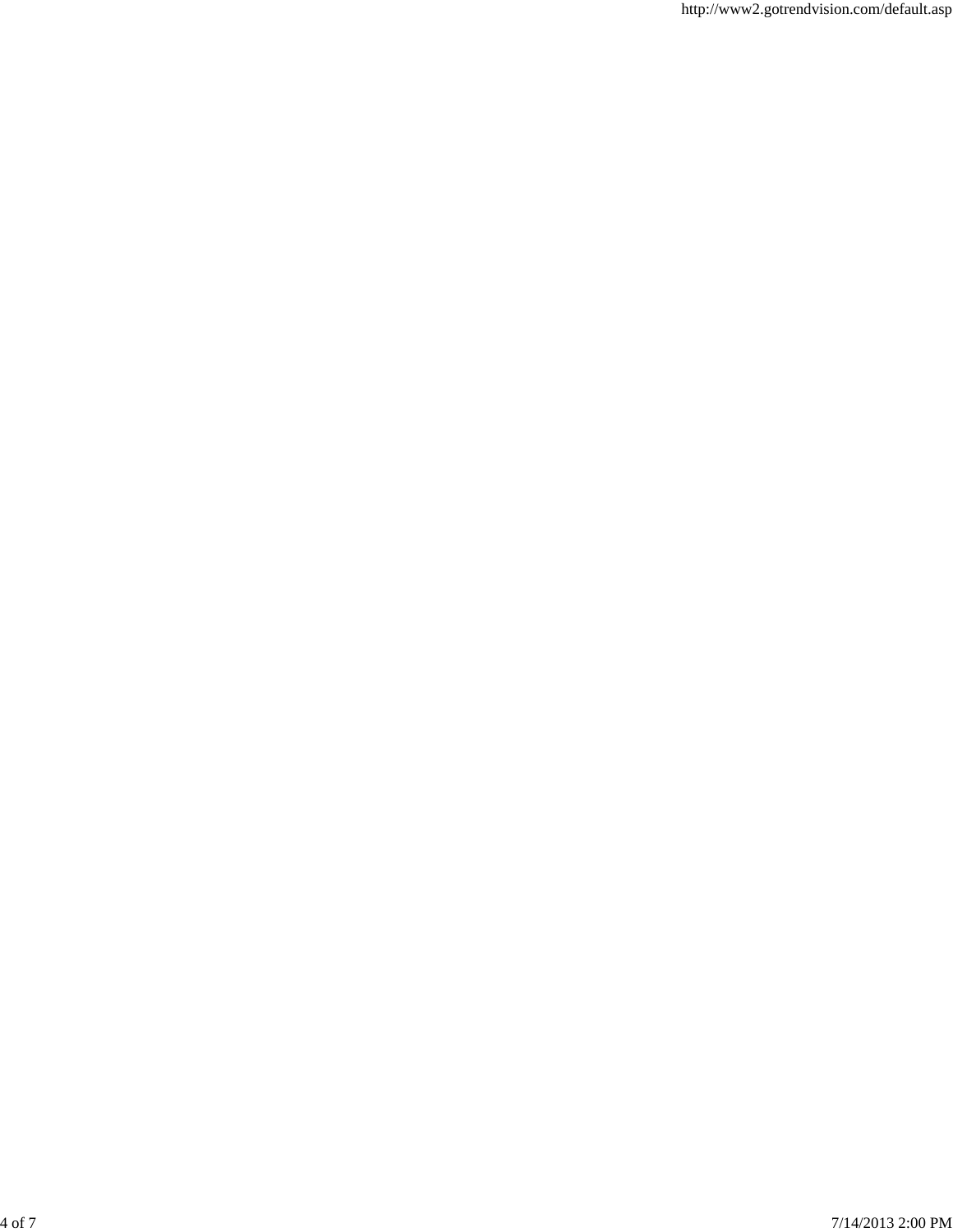http://www2.gotrendvision.com/default.asp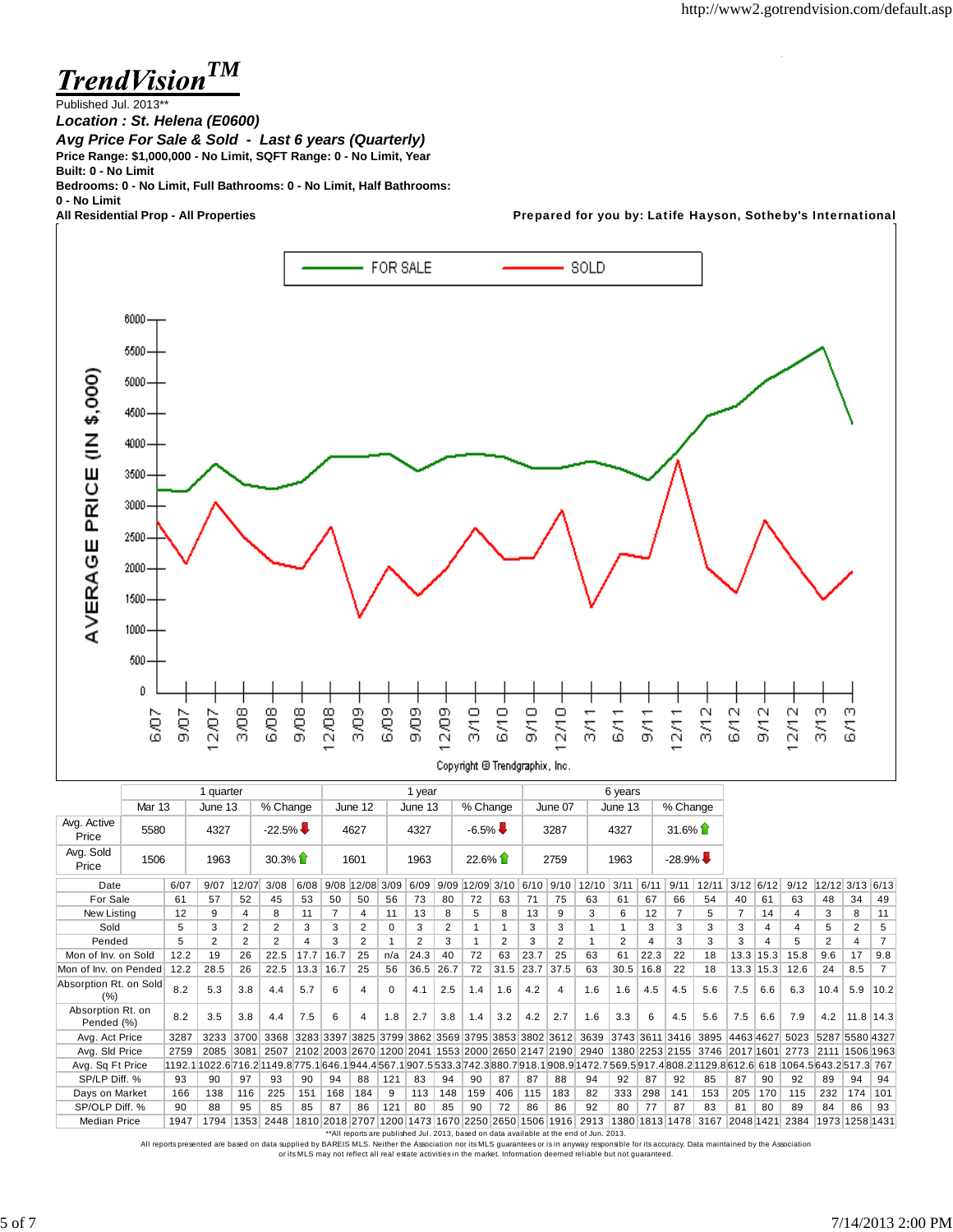**TrendVision<sup>TM</sup>** 

Published Jul. 2013\*\*

*Location : St. Helena (E0600) Avg Price For Sale & Sold - Last 6 years (Quarterly)* **Price Range: \$1,000,000 - No Limit, SQFT Range: 0 - No Limit, Year Built: 0 - No Limit**

**Bedrooms: 0 - No Limit, Full Bathrooms: 0 - No Limit, Half Bathrooms:**

## **0 - No Limit**

Prepared for you by: Latife Hayson, Sotheby's International



|                                 |               |      | 1 quarter                                                                                                                                                  |           |                |      |             |                                                        |          | 1 year      |                |                      |      |      |                |                                                                                         | 6 years        |      |           |                                    |             |               |                     |                |                 |                |
|---------------------------------|---------------|------|------------------------------------------------------------------------------------------------------------------------------------------------------------|-----------|----------------|------|-------------|--------------------------------------------------------|----------|-------------|----------------|----------------------|------|------|----------------|-----------------------------------------------------------------------------------------|----------------|------|-----------|------------------------------------|-------------|---------------|---------------------|----------------|-----------------|----------------|
|                                 | <b>Mar 13</b> |      | June 13                                                                                                                                                    |           | % Change       |      |             | June 12                                                |          | June 13     |                | % Change             |      |      | June 07        |                                                                                         | June 13        |      | % Change  |                                    |             |               |                     |                |                 |                |
| Avg. Active<br>Price            | 5580          |      | 4327                                                                                                                                                       |           | $-22.5\%$      |      | 4627        |                                                        |          | 4327        |                | $-6.5\%$             |      |      | 3287           |                                                                                         | 4327           |      | $31.6\%$  |                                    |             |               |                     |                |                 |                |
| Avg. Sold<br>Price              | 1506          | 1963 |                                                                                                                                                            |           | $30.3\%$       |      | 1601        |                                                        |          | 1963        |                | $22.6\%$             |      |      | 2759           |                                                                                         | 1963           |      | $-28.9\%$ |                                    |             |               |                     |                |                 |                |
| Date                            |               | 6/07 | 9/07                                                                                                                                                       | 12/07     | 3/08           | 6/08 | 9/08        | 12/08 3/09                                             |          |             |                | 6/09 9/09 12/09 3/10 |      |      | 6/10 9/10      | 12/10                                                                                   | 3/11           | 6/11 | 9/11      | 12/11                              | $3/12$ 6/12 |               | 9/12                |                | 12/12 3/13 6/13 |                |
| For Sale                        |               | 61   | 57                                                                                                                                                         | 52        | 45             | 53   | 50          | 50                                                     | 56       | 73          | 80             | 72                   | 63   | 71   | 75             | 63                                                                                      | 61             | 67   | 66        | 54                                 | 40          | 61            | 63                  | 48             | 34              | 49             |
| New Listing                     |               | 12   | 9                                                                                                                                                          | 4         | 8              | 11   |             | 4                                                      | 11       | 13          | 8              | 5                    | 8    | 13   | 9              | 3                                                                                       | 6              | 12   |           | 5                                  |             | 14            | 4                   | 3              | 8               | 11             |
| Sold                            |               | 5    | 3                                                                                                                                                          | 2         | 2              | 3    | 3           | 2                                                      | $\Omega$ | 3           | $\overline{2}$ | 1                    |      | 3    | 3              |                                                                                         |                | 3    | 3         | 3                                  | 3           | 4             | 4                   | 5              | $\overline{2}$  | 5              |
| Pended                          |               | 5    | $\overline{2}$                                                                                                                                             | 2         | $\overline{2}$ | 4    | 3           | 2                                                      |          | 2           | 3              |                      | 2    | 3    | 2              |                                                                                         | $\overline{2}$ | 4    | 3         | 3                                  | 3           | 4             | 5                   | $\overline{2}$ | 4               | $\overline{7}$ |
| Mon of Inv. on Sold             |               | 12.2 | 19                                                                                                                                                         | 26        | 22.5           |      | 17.7 16.7   | 25                                                     | n/a      | 24.3        | 40             | 72                   | 63   | 23.7 | 25             | 63                                                                                      | 61             | 22.3 | 22        | 18                                 |             | 13.3 15.3     | 15.8                | 9.6            | 17              | 9.8            |
| Mon of Inv. on Pended           |               | 12.2 | 28.5                                                                                                                                                       | 26        | 22.5           |      | $13.3$ 16.7 | 25                                                     | 56       | $36.5$ 26.7 |                | 72                   | 31.5 | 23.7 | 37.5           | 63                                                                                      | 30.5           | 16.8 | 22        | 18                                 |             | $13.3$   15.3 | 12.6                | 24             | 8.5             | $\overline{7}$ |
| Absorption Rt. on Sold<br>(% )  |               | 8.2  | 5.3                                                                                                                                                        | 3.8       | 4.4            | 5.7  | 6           | 4                                                      | $\Omega$ | 4.1         | 2.5            | 1.4                  | 1.6  | 4.2  | $\overline{4}$ | 1.6                                                                                     | 1.6            | 4.5  | 4.5       | 5.6                                | 7.5         | 6.6           | 6.3                 | 10.4           | 5.9             | 10.2           |
| Absorption Rt. on<br>Pended (%) |               | 8.2  | 3.5                                                                                                                                                        | 3.8       | 4.4            | 7.5  | 6           | 4                                                      | 1.8      | 2.7         | 3.8            | 1.4                  | 3.2  | 4.2  | 2.7            | 1.6                                                                                     | 3.3            | 6    | 4.5       | 5.6                                | 7.5         | 6.6           | 7.9                 | 4.2            | 11.8 14.3       |                |
| Avg. Act Price                  |               | 3287 |                                                                                                                                                            | 3233 3700 |                |      |             | 3368 3283 3397 3825 3799 3862 3569 3795 3853 3802 3612 |          |             |                |                      |      |      |                | 3639 3743 3611 3416                                                                     |                |      |           |                                    |             |               | 3895 4463 4627 5023 |                | 5287 5580 4327  |                |
| Avg. Sld Price                  |               | 2759 |                                                                                                                                                            | 2085 3081 |                |      |             |                                                        |          |             |                |                      |      |      |                | 2507 2102 2003 2670 1200 2041 1553 2000 2650 2147 2190 2940                             |                |      |           | 1380 2253 2155 3746 2017 1601 2773 |             |               |                     |                | 2111 1506 1963  |                |
| Avg. Sq Ft Price                |               |      | 1192.1 1022.6 716.2 1149.8 775.1 646.1 944.4 567.1 907.5 533.3 742.3 880.7 918.1 908.9 1472.7 569.5 917.4 808.2 1129.8 612.6  618  1064.5 643.2 517.3  767 |           |                |      |             |                                                        |          |             |                |                      |      |      |                |                                                                                         |                |      |           |                                    |             |               |                     |                |                 |                |
| SP/LP Diff. %                   |               | 93   | 90                                                                                                                                                         | 97        | 93             | 90   | 94          | 88                                                     | 121      | 83          | 94             | 90                   | 87   | 87   | 88             | 94                                                                                      | 92             | 87   | 92        | 85                                 | 87          | 90            | 92                  | 89             | 94              | 94             |
| Days on Market                  |               | 166  | 138                                                                                                                                                        | 116       | 225            | 151  | 168         | 184                                                    | 9        | 113         | 148            | 159                  | 406  | 115  | 183            | 82                                                                                      | 333            | 298  | 141       | 153                                | 205         | 170           | 115                 | 232            | 174             | 101            |
| SP/OLP Diff. %                  |               | 90   | 88                                                                                                                                                         | 95        | 85             | 85   | 87          | 86                                                     | 121      | 80          | 85             | 90                   | 72   | 86   | 86             | 92                                                                                      | 80             | 77   | 87        | 83                                 | 81          | 80            | 89                  | 84             | 86              | 93             |
| <b>Median Price</b>             |               | 1947 | 1794                                                                                                                                                       | 1353      | 2448           |      |             |                                                        |          |             |                |                      |      |      |                | 1810 2018 2707 1200 1473 1670 2250 2650 1506 1916 2913 1380 1813 1478                   |                |      |           | 3167                               | 2048 1421   |               | 2384                |                | 1973 1258 1431  |                |
|                                 |               |      |                                                                                                                                                            |           |                |      |             |                                                        |          |             |                |                      |      |      |                | **All reports are published Jul. 2013, based on data available at the end of Jun. 2013. |                |      |           |                                    |             |               |                     |                |                 |                |

All reports presented are based on data supplied by BAREIS MLS. Neither the Association nor its MLS guarantees or is in anyway responsible for its accuracy. Data maintained by the Association<br>or its MLS may not reflect all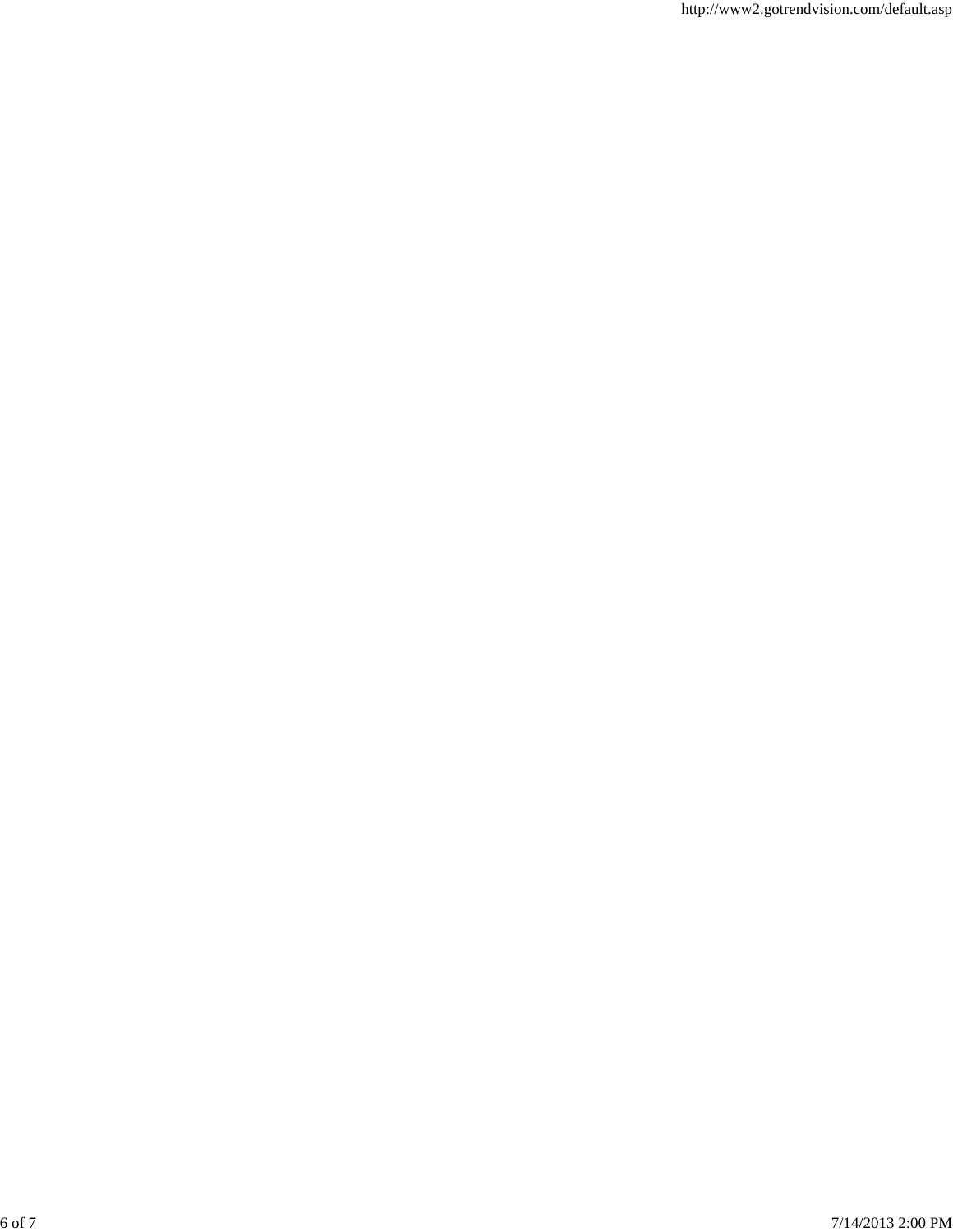http://www2.gotrendvision.com/default.asp